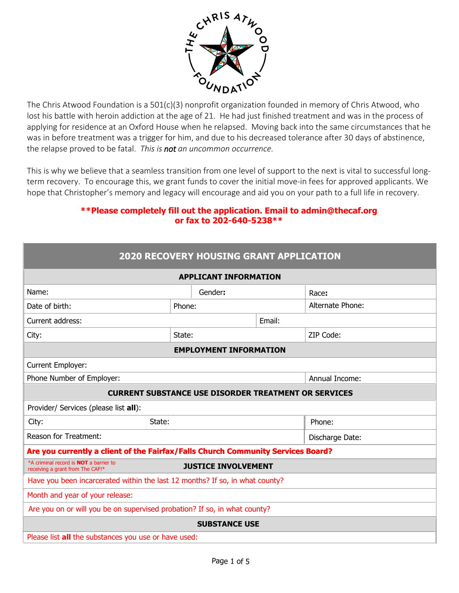

The Chris Atwood Foundation is a 501(c)(3) nonprofit organization founded in memory of Chris Atwood, who lost his battle with heroin addiction at the age of 21. He had just finished treatment and was in the process of applying for residence at an Oxford House when he relapsed. Moving back into the same circumstances that he was in before treatment was a trigger for him, and due to his decreased tolerance after 30 days of abstinence, the relapse proved to be fatal. *This is not an uncommon occurrence.*

This is why we believe that a seamless transition from one level of support to the next is vital to successful longterm recovery. To encourage this, we grant funds to cover the initial move-in fees for approved applicants. We hope that Christopher's memory and legacy will encourage and aid you on your path to a full life in recovery.

#### **\*\*Please completely fill out the application. Email to admin@thecaf.org or fax to 202-640-5238\*\***

| <b>2020 RECOVERY HOUSING GRANT APPLICATION</b>                                    |                            |        |                  |  |  |  |  |
|-----------------------------------------------------------------------------------|----------------------------|--------|------------------|--|--|--|--|
| <b>APPLICANT INFORMATION</b>                                                      |                            |        |                  |  |  |  |  |
| Name:                                                                             | Gender:                    |        | Race:            |  |  |  |  |
| Date of birth:                                                                    | Phone:                     |        | Alternate Phone: |  |  |  |  |
| Current address:                                                                  |                            | Email: |                  |  |  |  |  |
| City:                                                                             | State:                     |        | ZIP Code:        |  |  |  |  |
| <b>EMPLOYMENT INFORMATION</b>                                                     |                            |        |                  |  |  |  |  |
| Current Employer:                                                                 |                            |        |                  |  |  |  |  |
| Phone Number of Employer:                                                         |                            |        | Annual Income:   |  |  |  |  |
| <b>CURRENT SUBSTANCE USE DISORDER TREATMENT OR SERVICES</b>                       |                            |        |                  |  |  |  |  |
| Provider/ Services (please list all):                                             |                            |        |                  |  |  |  |  |
| State:<br>City:                                                                   |                            | Phone: |                  |  |  |  |  |
| <b>Reason for Treatment:</b>                                                      |                            |        | Discharge Date:  |  |  |  |  |
| Are you currently a client of the Fairfax/Falls Church Community Services Board?  |                            |        |                  |  |  |  |  |
| *A criminal record is <b>NOT</b> a barrier to<br>receiving a grant from The CAF!* | <b>JUSTICE INVOLVEMENT</b> |        |                  |  |  |  |  |
| Have you been incarcerated within the last 12 months? If so, in what county?      |                            |        |                  |  |  |  |  |
| Month and year of your release:                                                   |                            |        |                  |  |  |  |  |
| Are you on or will you be on supervised probation? If so, in what county?         |                            |        |                  |  |  |  |  |
| <b>SUBSTANCE USE</b>                                                              |                            |        |                  |  |  |  |  |
| Please list all the substances you use or have used:                              |                            |        |                  |  |  |  |  |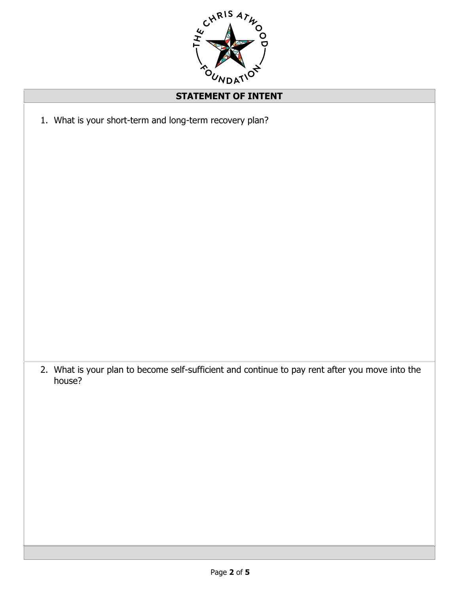

## **STATEMENT OF INTENT**

1. What is your short-term and long-term recovery plan?

2. What is your plan to become self-sufficient and continue to pay rent after you move into the house?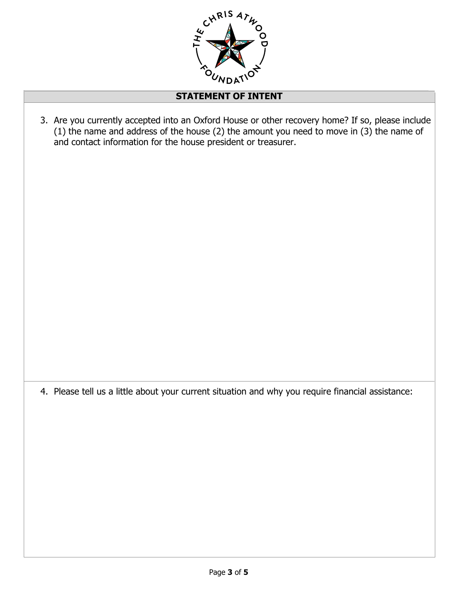

### **STATEMENT OF INTENT**

3. Are you currently accepted into an Oxford House or other recovery home? If so, please include (1) the name and address of the house (2) the amount you need to move in (3) the name of and contact information for the house president or treasurer.

4. Please tell us a little about your current situation and why you require financial assistance: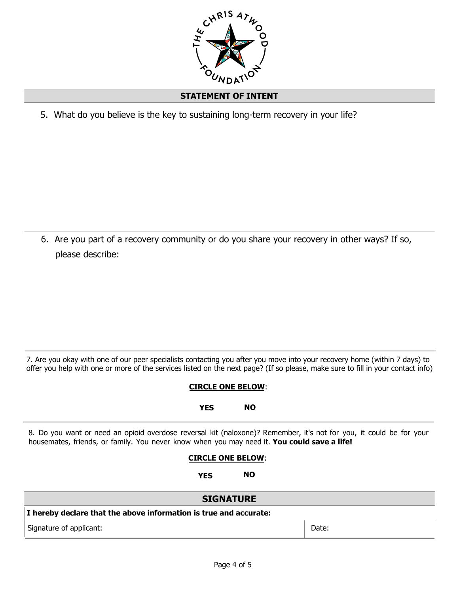

#### **STATEMENT OF INTENT**

|                         | 5. What do you believe is the key to sustaining long-term recovery in your life?            |                                        |           |                                                                                                                                                                                                                                                              |  |
|-------------------------|---------------------------------------------------------------------------------------------|----------------------------------------|-----------|--------------------------------------------------------------------------------------------------------------------------------------------------------------------------------------------------------------------------------------------------------------|--|
|                         | please describe:                                                                            |                                        |           | 6. Are you part of a recovery community or do you share your recovery in other ways? If so,                                                                                                                                                                  |  |
|                         |                                                                                             | <b>CIRCLE ONE BELOW:</b><br><b>YES</b> | <b>NO</b> | 7. Are you okay with one of our peer specialists contacting you after you move into your recovery home (within 7 days) to<br>offer you help with one or more of the services listed on the next page? (If so please, make sure to fill in your contact info) |  |
|                         | housemates, friends, or family. You never know when you may need it. You could save a life! | <b>CIRCLE ONE BELOW:</b><br><b>YES</b> | <b>NO</b> | 8. Do you want or need an opioid overdose reversal kit (naloxone)? Remember, it's not for you, it could be for your                                                                                                                                          |  |
| <b>SIGNATURE</b>        |                                                                                             |                                        |           |                                                                                                                                                                                                                                                              |  |
|                         | I hereby declare that the above information is true and accurate:                           |                                        |           |                                                                                                                                                                                                                                                              |  |
| Signature of applicant: |                                                                                             |                                        |           | Date:                                                                                                                                                                                                                                                        |  |